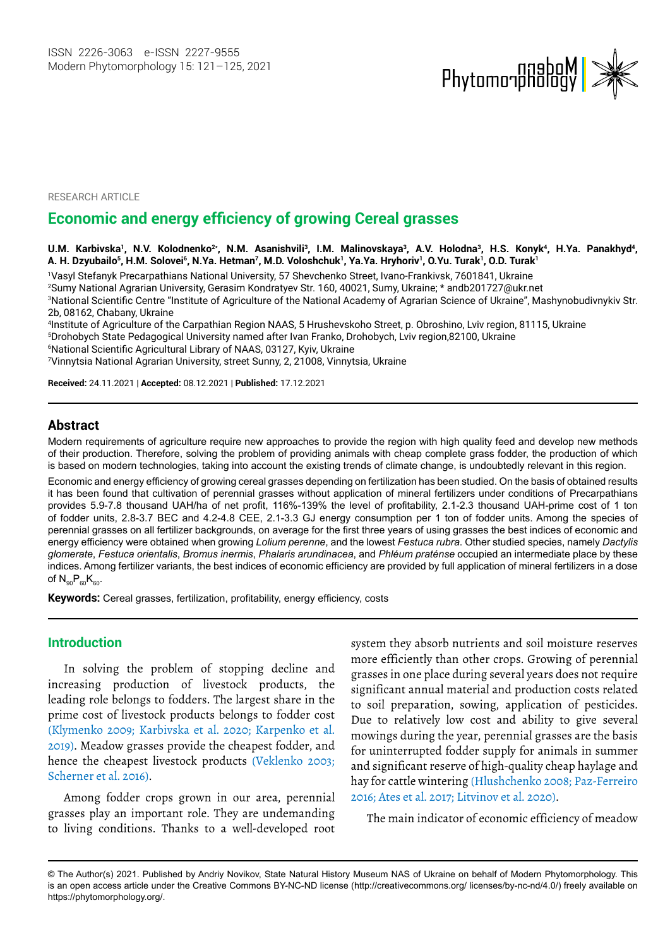

RESEARCH ARTICLE

# **Economic and energy efficiency of growing Cereal grasses**

#### **U.M. Karbivska1, N.V. Kolodnenko2\*, N.M. Asanishvili3, I.M. Malinovskaya3, A.V. Holodna3, Н.S. Konуk4, H.Ya. Panakhyd4, A. Н. Dzyubailo<sup>5</sup> , Н.М. Solovei<sup>6</sup> , N.Ya. Hetman7 , M.D. Voloshchuk<sup>1</sup> , Ya.Ya. Hryhoriv<sup>1</sup> , O.Yu. Turak<sup>1</sup> , O.D. Turak<sup>1</sup>**

1 Vasyl Stefanyk Precarpathians National University, 57 Shevchenko Street, Ivano-Frankivsk, 7601841, Ukraine 2Sumy National Agrarian University, Gerasim Kondratyev Str. 160, 40021, Sumy, Ukraine; \* andb201727@ukr.net 3 National Scientific Centre "Institute of Agriculture of the National Academy of Agrarian Science of Ukraine", Mashynobudivnykiv Str. 2b, 08162, Сhabany, Ukraine

4Institute of Agriculture of the Carpathian Region NAAS, 5 Hrushevskoho Street, p. Obroshino, Lviv region, 81115, Ukraine Drohobych State Pedagogical University named after Ivan Franko, Drohobych, Lviv region,82100, Ukraine National Scientific Agricultural Library of NAAS, 03127, Kyiv, Ukraine Vinnytsia National Agrarian University, street Sunny, 2, 21008, Vinnytsia, Ukraine

**Received:** 24.11.2021 | **Accepted:** 08.12.2021 | **Published:** 17.12.2021

# **Abstract**

Modern requirements of agriculture require new approaches to provide the region with high quality feed and develop new methods of their production. Therefore, solving the problem of providing animals with cheap complete grass fodder, the production of which is based on modern technologies, taking into account the existing trends of climate change, is undoubtedly relevant in this region.

Economic and energy efficiency of growing cereal grasses depending on fertilization has been studied. On the basis of obtained results it has been found that cultivation of perennial grasses without application of mineral fertilizers under conditions of Precarpathians provides 5.9-7.8 thousand UAH/ha of net profit, 116%-139% the level of profitability, 2.1-2.3 thousand UAH-prime cost of 1 ton of fodder units, 2.8-3.7 BEC and 4.2-4.8 CEE, 2.1-3.3 GJ energy consumption per 1 ton of fodder units. Among the species of perennial grasses on all fertilizer backgrounds, on average for the first three years of using grasses the best indices of economic and energy efficiency were obtained when growing *Lolium perenne*, and the lowest *Festuca rubra*. Other studied species, namely *Dactylis glomerate*, *Festuca orientalis*, *Bromus inermis*, *Phalaris arundinacea*, and *Phléum praténse* occupied an intermediate place by these indices. Among fertilizer variants, the best indices of economic efficiency are provided by full application of mineral fertilizers in a dose of  $N_{90}P_{60}K_{60}$ .

**Keywords:** Cereal grasses, fertilization, profitability, energy efficiency, costs

### **Introduction**

In solving the problem of stopping decline and increasing production of livestock products, the leading role belongs to fodders. The largest share in the prime cost of livestock products belongs to fodder cost (Klymenko 2009; Karbivska et al. 2020; Karpenko et al. 2019). Meadow grasses provide the cheapest fodder, and hence the cheapest livestock products (Veklenko 2003; Scherner et al. 2016).

Among fodder crops grown in our area, perennial grasses play an important role. They are undemanding to living conditions. Thanks to a well-developed root system they absorb nutrients and soil moisture reserves more efficiently than other crops. Growing of perennial grasses in one place during several years does not require significant annual material and production costs related to soil preparation, sowing, application of pesticides. Due to relatively low cost and ability to give several mowings during the year, perennial grasses are the basis for uninterrupted fodder supply for animals in summer and significant reserve of high-quality cheap haylage and hay for cattle wintering (Hlushchenko 2008; Paz-Ferreiro 2016; Ates et al. 2017; Litvinov et al. 2020).

The main indicator of economic efficiency of meadow

<sup>©</sup> The Author(s) 2021. Published by Andriy Novikov, State Natural History Museum NAS of Ukraine on behalf of Modern Phytomorphology. This is an open access article under the Creative Commons BY-NC-ND license (http://creativecommons.org/ licenses/by-nc-nd/4.0/) freely available on https://phytomorphology.org/.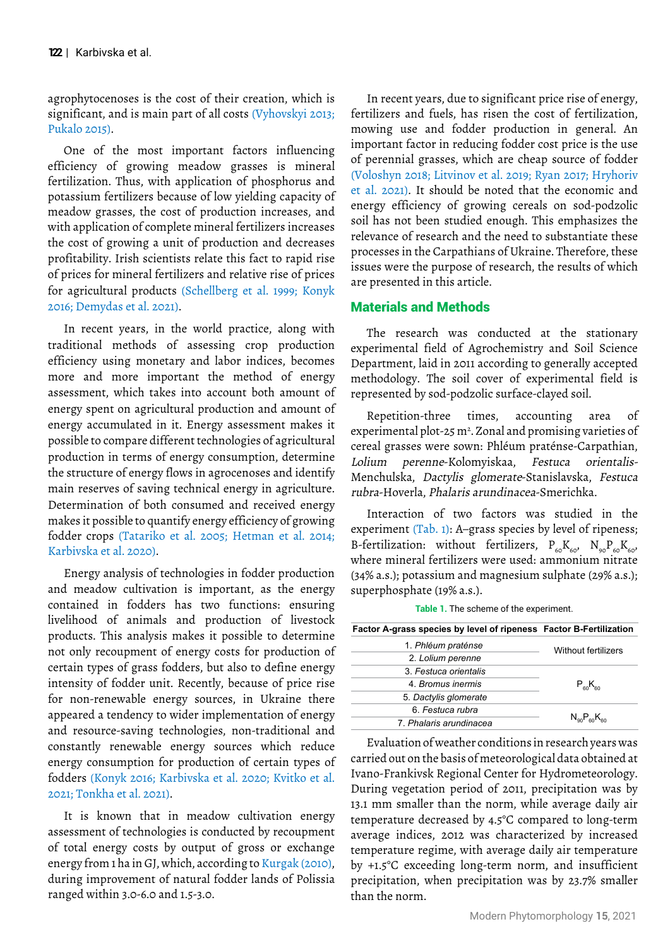agrophytocenoses is the cost of their creation, which is significant, and is main part of all costs (Vyhovskyi 2013; Pukalo 2015).

One of the most important factors influencing efficiency of growing meadow grasses is mineral fertilization. Thus, with application of phosphorus and potassium fertilizers because of low yielding capacity of meadow grasses, the cost of production increases, and with application of complete mineral fertilizers increases the cost of growing a unit of production and decreases profitability. Irish scientists relate this fact to rapid rise of prices for mineral fertilizers and relative rise of prices for agricultural products (Schellberg et al. 1999; Konyk 2016; Demydas et al. 2021).

In recent years, in the world practice, along with traditional methods of assessing crop production efficiency using monetary and labor indices, becomes more and more important the method of energy assessment, which takes into account both amount of energy spent on agricultural production and amount of energy accumulated in it. Energy assessment makes it possible to compare different technologies of agricultural production in terms of energy consumption, determine the structure of energy flows in agrocenoses and identify main reserves of saving technical energy in agriculture. Determination of both consumed and received energy makes it possible to quantify energy efficiency of growing fodder crops (Tatariko et al. 2005; Hetman et al. 2014; Karbivska et al. 2020).

Energy analysis of technologies in fodder production and meadow cultivation is important, as the energy contained in fodders has two functions: ensuring livelihood of animals and production of livestock products. This analysis makes it possible to determine not only recoupment of energy costs for production of certain types of grass fodders, but also to define energy intensity of fodder unit. Recently, because of price rise for non-renewable energy sources, in Ukraine there appeared a tendency to wider implementation of energy and resource-saving technologies, non-traditional and constantly renewable energy sources which reduce energy consumption for production of certain types of fodders (Konyk 2016; Karbivska et al. 2020; Kvitko et al. 2021; Tonkha et al. 2021).

It is known that in meadow cultivation energy assessment of technologies is conducted by recoupment of total energy costs by output of gross or exchange energy from 1 ha in GJ, which, according to Kurgak (2010), during improvement of natural fodder lands of Polissia ranged within 3.0-6.0 and 1.5-3.0.

In recent years, due to significant price rise of energy, fertilizers and fuels, has risen the cost of fertilization, mowing use and fodder production in general. An important factor in reducing fodder cost price is the use of perennial grasses, which are cheap source of fodder (Voloshyn 2018; Litvinov et al. 2019; Ryan 2017; Hryhoriv et al. 2021). It should be noted that the economic and energy efficiency of growing cereals on sod-podzolic soil has not been studied enough. This emphasizes the relevance of research and the need to substantiate these processes in the Carpathians of Ukraine. Therefore, these issues were the purpose of research, the results of which are presented in this article.

# Materials and Methods

The research was conducted at the stationary experimental field of Agrochemistry and Soil Science Department, laid in 2011 according to generally accepted methodology. The soil cover of experimental field is represented by sod-podzolic surface-clayed soil.

Repetition-three times, accounting area of experimental plot-25  $m^2$ . Zonal and promising varieties of cereal grasses were sown: Phléum praténse-Carpathian, Lolium perenne-Kolomyiskaa, Festuca orientalis-Menchulska, Dactylis glomerate-Stanislavska, Festuca rubra-Hoverla, Phalaris arundinacea-Smerichka.

Interaction of two factors was studied in the experiment (Tab. 1): A–grass species by level of ripeness; B-fertilization: without fertilizers,  $P_{60}K_{60}$ ,  $N_{90}P_{60}K_{60}$ , where mineral fertilizers were used: ammonium nitrate (34% a.s.); potassium and magnesium sulphate (29% a.s.); superphosphate (19% a.s.).

|  |  |  |  |  |  |  | <b>Table 1.</b> The scheme of the experiment. |  |
|--|--|--|--|--|--|--|-----------------------------------------------|--|
|--|--|--|--|--|--|--|-----------------------------------------------|--|

| Factor A-grass species by level of ripeness Factor B-Fertilization |                                  |  |
|--------------------------------------------------------------------|----------------------------------|--|
| 1. Phléum praténse                                                 | <b>Without fertilizers</b>       |  |
| 2. Lolium perenne                                                  |                                  |  |
| 3. Festuca orientalis                                              |                                  |  |
| 4. Bromus inermis                                                  | $P_{\rm so}K_{\rm so}$           |  |
| 5. Dactylis glomerate                                              |                                  |  |
| 6. Festuca rubra                                                   |                                  |  |
| 7. Phalaris arundinacea                                            | $N_{\rm on}P_{\rm on}K_{\rm on}$ |  |

Evaluation of weather conditions in research years was carried out on the basis of meteorological data obtained at Ivano-Frankivsk Regional Center for Hydrometeorology. During vegetation period of 2011, precipitation was by 13.1 mm smaller than the norm, while average daily air temperature decreased by 4.5°C compared to long-term average indices, 2012 was characterized by increased temperature regime, with average daily air temperature by +1.5°C exceeding long-term norm, and insufficient precipitation, when precipitation was by 23.7% smaller than the norm.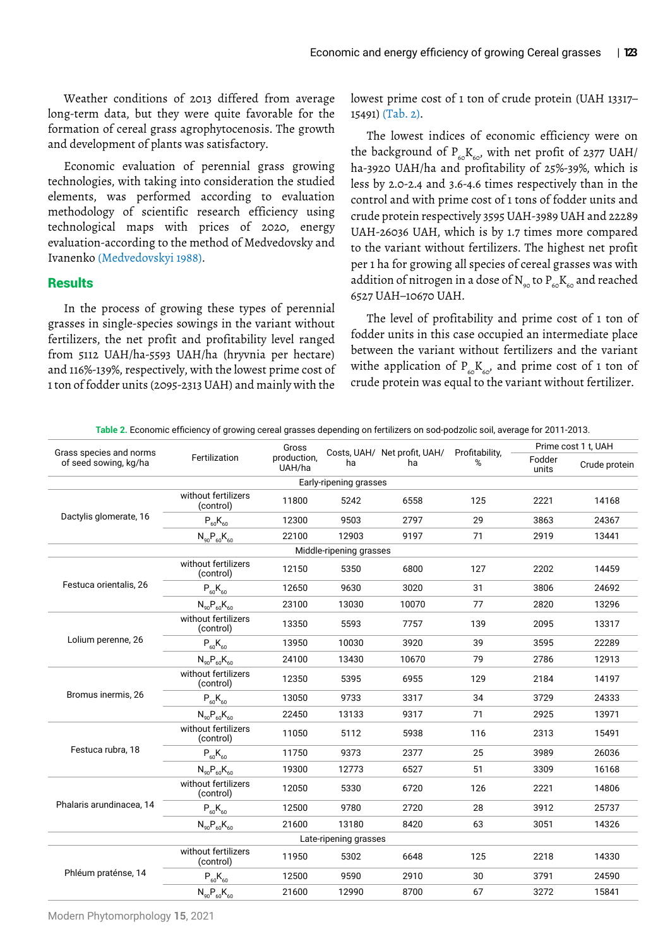Weather conditions of 2013 differed from average long-term data, but they were quite favorable for the formation of cereal grass agrophytocenosis. The growth and development of plants was satisfactory.

Economic evaluation of perennial grass growing technologies, with taking into consideration the studied elements, was performed according to evaluation methodology of scientific research efficiency using technological maps with prices of 2020, energy evaluation-according to the method of Medvedovsky and Ivanenko (Medvedovskyi 1988).

### **Results**

In the process of growing these types of perennial grasses in single-species sowings in the variant without fertilizers, the net profit and profitability level ranged from 5112 UAH/ha-5593 UAH/ha (hryvnia per hectare) and 116%-139%, respectively, with the lowest prime cost of 1 ton of fodder units (2095-2313 UAH) and mainly with the

lowest prime cost of 1 ton of crude protein (UAH 13317– 15491) (Tab. 2).

The lowest indices of economic efficiency were on the background of  $P_{60}K_{60}$ , with net profit of 2377 UAH/ ha-3920 UAH/ha and profitability of 25%-39%, which is less by 2.0-2.4 and 3.6-4.6 times respectively than in the control and with prime cost of 1 tons of fodder units and crude protein respectively 3595 UAH-3989 UAH and 22289 UAH-26036 UAH, which is by 1.7 times more compared to the variant without fertilizers. The highest net profit per 1 ha for growing all species of cereal grasses was with addition of nitrogen in a dose of  $N_{\text{eq}}$  to  $P_{\text{eq}}K_{\text{eq}}$  and reached 6527 UAH–10670 UAH.

The level of profitability and prime cost of 1 ton of fodder units in this case occupied an intermediate place between the variant without fertilizers and the variant withe application of  $P_{60}K_{60}$ , and prime cost of 1 ton of crude protein was equal to the variant without fertilizer.

| Grass species and norms  |                                  | Gross                 |                        | Costs, UAH/ Net profit, UAH/ | Profitability, | Prime cost 1 t, UAH |               |
|--------------------------|----------------------------------|-----------------------|------------------------|------------------------------|----------------|---------------------|---------------|
| of seed sowing, kg/ha    | Fertilization                    | production,<br>UAH/ha | ha                     | ha                           | %              | Fodder<br>units     | Crude protein |
|                          |                                  |                       | Early-ripening grasses |                              |                |                     |               |
|                          | without fertilizers<br>(control) | 11800                 | 5242                   | 6558                         | 125            | 2221                | 14168         |
| Dactylis glomerate, 16   | $P_{60}K_{60}$                   | 12300                 | 9503                   | 2797                         | 29             | 3863                | 24367         |
|                          | $N_{90}P_{60}K_{60}$             | 22100                 | 12903                  | 9197                         | 71             | 2919                | 13441         |
| Middle-ripening grasses  |                                  |                       |                        |                              |                |                     |               |
|                          | without fertilizers<br>(control) | 12150                 | 5350                   | 6800                         | 127            | 2202                | 14459         |
| Festuca orientalis, 26   | $P_{60}K_{60}$                   | 12650                 | 9630                   | 3020                         | 31             | 3806                | 24692         |
|                          | $N_{90}P_{60}K_{60}$             | 23100                 | 13030                  | 10070                        | 77             | 2820                | 13296         |
|                          | without fertilizers<br>(control) | 13350                 | 5593                   | 7757                         | 139            | 2095                | 13317         |
| Lolium perenne, 26       | $P_{60}K_{60}$                   | 13950                 | 10030                  | 3920                         | 39             | 3595                | 22289         |
|                          | $N_{90}P_{60}K_{60}$             | 24100                 | 13430                  | 10670                        | 79             | 2786                | 12913         |
|                          | without fertilizers<br>(control) | 12350                 | 5395                   | 6955                         | 129            | 2184                | 14197         |
| Bromus inermis, 26       | $P_{60}K_{60}$                   | 13050                 | 9733                   | 3317                         | 34             | 3729                | 24333         |
|                          | $N_{90}P_{60}K_{60}$             | 22450                 | 13133                  | 9317                         | 71             | 2925                | 13971         |
|                          | without fertilizers<br>(control) | 11050                 | 5112                   | 5938                         | 116            | 2313                | 15491         |
| Festuca rubra, 18        | $P_{60}K_{60}$                   | 11750                 | 9373                   | 2377                         | 25             | 3989                | 26036         |
|                          | $N_{90}P_{60}K_{60}$             | 19300                 | 12773                  | 6527                         | 51             | 3309                | 16168         |
|                          | without fertilizers<br>(control) | 12050                 | 5330                   | 6720                         | 126            | 2221                | 14806         |
| Phalaris arundinacea. 14 | $P_{60}K_{60}$                   | 12500                 | 9780                   | 2720                         | 28             | 3912                | 25737         |
|                          | $N_{90}P_{60}K_{60}$             | 21600                 | 13180                  | 8420                         | 63             | 3051                | 14326         |
| Late-ripening grasses    |                                  |                       |                        |                              |                |                     |               |
|                          | without fertilizers<br>(control) | 11950                 | 5302                   | 6648                         | 125            | 2218                | 14330         |
| Phléum praténse, 14      | $P_{60}K_{60}$                   | 12500                 | 9590                   | 2910                         | 30             | 3791                | 24590         |
|                          | $N_{90}P_{60}K_{60}$             | 21600                 | 12990                  | 8700                         | 67             | 3272                | 15841         |

**Table 2.** Economic efficiency of growing cereal grasses depending on fertilizers on sod-podzolic soil, average for 2011-2013.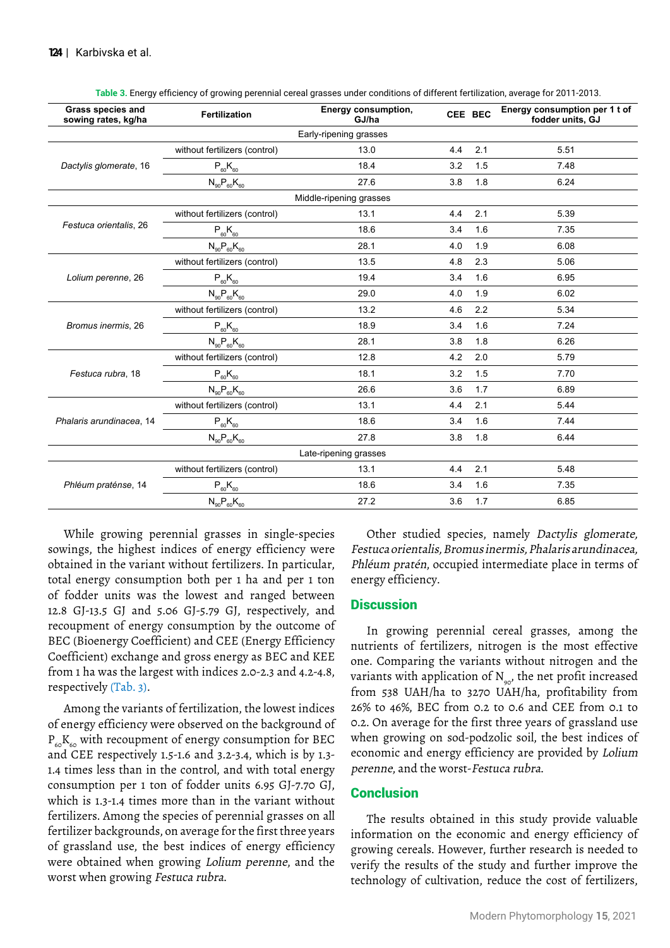| <b>Grass species and</b><br>sowing rates, kg/ha | Fertilization                 | <b>Energy consumption,</b><br>GJ/ha | CEE BEC |     | Energy consumption per 1 t of<br>fodder units, GJ |  |  |  |
|-------------------------------------------------|-------------------------------|-------------------------------------|---------|-----|---------------------------------------------------|--|--|--|
| Early-ripening grasses                          |                               |                                     |         |     |                                                   |  |  |  |
|                                                 | without fertilizers (control) | 13.0                                | 4.4     | 2.1 | 5.51                                              |  |  |  |
| Dactylis glomerate, 16                          | $P_{60}K_{60}$                | 18.4                                | 3.2     | 1.5 | 7.48                                              |  |  |  |
|                                                 | $N_{90}P_{60}K_{60}$          | 27.6                                | 3.8     | 1.8 | 6.24                                              |  |  |  |
|                                                 |                               | Middle-ripening grasses             |         |     |                                                   |  |  |  |
|                                                 | without fertilizers (control) | 13.1                                | 4.4     | 2.1 | 5.39                                              |  |  |  |
| Festuca orientalis, 26                          | $P_{60}K_{60}$                | 18.6                                | 3.4     | 1.6 | 7.35                                              |  |  |  |
|                                                 | $N_{90}P_{60}K_{60}$          | 28.1                                | 4.0     | 1.9 | 6.08                                              |  |  |  |
|                                                 | without fertilizers (control) | 13.5                                | 4.8     | 2.3 | 5.06                                              |  |  |  |
| Lolium perenne, 26                              | $P_{60}K_{60}$                | 19.4                                | 3.4     | 1.6 | 6.95                                              |  |  |  |
|                                                 | $N_{90}P_{60}K_{60}$          | 29.0                                | 4.0     | 1.9 | 6.02                                              |  |  |  |
|                                                 | without fertilizers (control) | 13.2                                | 4.6     | 2.2 | 5.34                                              |  |  |  |
| Bromus inermis, 26                              | $P_{60}K_{60}$                | 18.9                                | 3.4     | 1.6 | 7.24                                              |  |  |  |
|                                                 | $N_{90}P_{60}K_{60}$          | 28.1                                | 3.8     | 1.8 | 6.26                                              |  |  |  |
|                                                 | without fertilizers (control) | 12.8                                | 4.2     | 2.0 | 5.79                                              |  |  |  |
| Festuca rubra, 18                               | $P_{60}K_{60}$                | 18.1                                | 3.2     | 1.5 | 7.70                                              |  |  |  |
|                                                 | $N_{90}P_{60}K_{60}$          | 26.6                                | 3.6     | 1.7 | 6.89                                              |  |  |  |
|                                                 | without fertilizers (control) | 13.1                                | 4.4     | 2.1 | 5.44                                              |  |  |  |
| Phalaris arundinacea, 14                        | $P_{60}K_{60}$                | 18.6                                | 3.4     | 1.6 | 7.44                                              |  |  |  |
|                                                 | $N_{90}P_{60}K_{60}$          | 27.8                                | 3.8     | 1.8 | 6.44                                              |  |  |  |
| Late-ripening grasses                           |                               |                                     |         |     |                                                   |  |  |  |
|                                                 | without fertilizers (control) | 13.1                                | 4.4     | 2.1 | 5.48                                              |  |  |  |
| Phléum praténse, 14                             | $P_{60}K_{60}$                | 18.6                                | 3.4     | 1.6 | 7.35                                              |  |  |  |
|                                                 | $N_{90}P_{60}K_{60}$          | 27.2                                | 3.6     | 1.7 | 6.85                                              |  |  |  |

**Table 3.** Energy efficiency of growing perennial cereal grasses under conditions of different fertilization, average for 2011-2013.

While growing perennial grasses in single-species sowings, the highest indices of energy efficiency were obtained in the variant without fertilizers. In particular, total energy consumption both per 1 ha and per 1 ton of fodder units was the lowest and ranged between 12.8 GJ-13.5 GJ and 5.06 GJ-5.79 GJ, respectively, and recoupment of energy consumption by the outcome of BEC (Bioenergy Coefficient) and CEE (Energy Efficiency Coefficient) exchange and gross energy as BEC and KEE from 1 ha was the largest with indices 2.0-2.3 and 4.2-4.8, respectively (Tab. 3).

Among the variants of fertilization, the lowest indices of energy efficiency were observed on the background of  $P_{60}K_{60}$  with recoupment of energy consumption for BEC and CEE respectively 1.5-1.6 and 3.2-3.4, which is by 1.3- 1.4 times less than in the control, and with total energy consumption per 1 ton of fodder units 6.95 GJ-7.70 GJ, which is 1.3-1.4 times more than in the variant without fertilizers. Among the species of perennial grasses on all fertilizer backgrounds, on average for the first three years of grassland use, the best indices of energy efficiency were obtained when growing Lolium perenne, and the worst when growing Festuca rubra.

Other studied species, namely Dactylis glomerate, Festuca orientalis, Bromus inermis, Phalaris arundinacea, Phléum pratén, occupied intermediate place in terms of energy efficiency.

### **Discussion**

In growing perennial cereal grasses, among the nutrients of fertilizers, nitrogen is the most effective one. Comparing the variants without nitrogen and the variants with application of  $N_{\text{eq}}$ , the net profit increased from 538 UAH/ha to 3270 UAH/ha, profitability from 26% to 46%, BEC from 0.2 to 0.6 and CEE from 0.1 to 0.2. On average for the first three years of grassland use when growing on sod-podzolic soil, the best indices of economic and energy efficiency are provided by Lolium perenne, and the worst-Festuca rubra.

### **Conclusion**

The results obtained in this study provide valuable information on the economic and energy efficiency of growing cereals. However, further research is needed to verify the results of the study and further improve the technology of cultivation, reduce the cost of fertilizers,